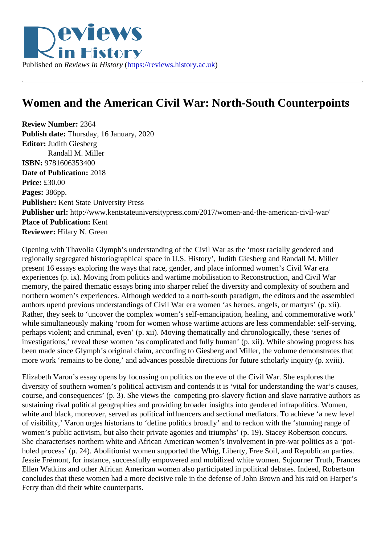## Women and the American Civil War: North-South Counterpoints

Review Number: 2364 Publish date: Thursday, 16 January, 2020 Editor: Judith Giesberg Randall M. Miller ISBN: 9781606353400 Date of Publication: 2018 Price: £30.00 Pages: 386pp. Publisher: Kent State University Press Publisher url: http://www.kentstateuniversitypress.com/2017/women-and-the-american-civil-war/ Place of Publication: Kent Reviewer: Hilary N. Green

Opening with Thavolia Glymph's understanding of the Civil War as the 'most racially gendered and regionally segregated historiographical space in U.S. History', Judith Giesberg and Randall M. Miller present 16 essays exploring the ways that race, gender, and place informed women's Civil War era experiences (p. ix). Moving from politics and wartime mobilisation to Reconstruction, and Civil War memory, the paired thematic essays bring into sharper relief the diversity and complexity of southern and northern women's experiences. Although wedded to a north-south paradigm, the editors and the assemble authors upend previous understandings of Civil War era women 'as heroes, angels, or martyrs' (p. xii). Rather, they seek to 'uncover the complex women's self-emancipation, healing, and commemorative work' while simultaneously making 'room for women whose wartime actions are less commendable: self-serving perhaps violent; and criminal, even' (p. xii). Moving thematically and chronologically, these 'series of investigations,' reveal these women 'as complicated and fully human' (p. xii). While showing progress has been made since Glymph's original claim, according to Giesberg and Miller, the volume demonstrates that more work 'remains to be done,' and advances possible directions for future scholarly inquiry (p. xviii).

Elizabeth Varon's essay opens by focussing on politics on the eve of the Civil War. She explores the diversity of southern women's political activism and contends it is 'vital for understanding the war's causes course, and consequences' (p. 3). She views the competing pro-slavery fiction and slave narrative author sustaining rival political geographies and providing broader insights into gendered infrapolitics. Women, white and black, moreover, served as political influencers and sectional mediators. To achieve 'a new level of visibility,' Varon urges historians to 'define politics broadly' and to reckon with the 'stunning range of women's public activism, but also their private agonies and triumphs' (p. 19). Stacey Robertson concurs. She characterises northern white and African American women's involvement in pre-war politics as a 'potholed process' (p. 24). Abolitionist women supported the Whig, Liberty, Free Soil, and Republican parties. Jessie Frémont, for instance, successfully empowered and mobilized white women. Sojourner Truth, Fran Ellen Watkins and other African American women also participated in political debates. Indeed, Robertson concludes that these women had a more decisive role in the defense of John Brown and his raid on Harpe Ferry than did their white counterparts.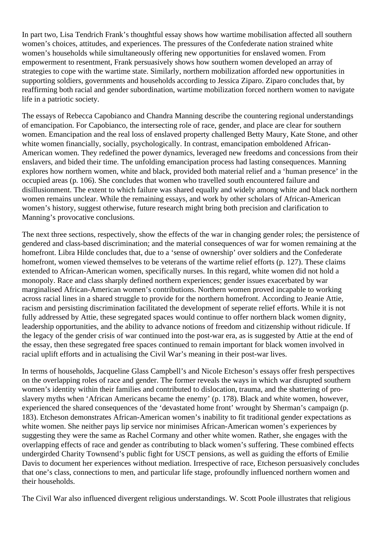In part two, Lisa Tendrich Frank's thoughtful essay shows how wartime mobilisation affected all southern women's choices, attitudes, and experiences. The pressures of the Confederate nation strained white women's households while simultaneously offering new opportunities for enslaved women. From empowerment to resentment, Frank persuasively shows how southern women developed an array of strategies to cope with the wartime state. Similarly, northern mobilization afforded new opportunities in supporting soldiers, governments and households according to Jessica Ziparo. Ziparo concludes that, by reaffirming both racial and gender subordination, wartime mobilization forced northern women to navigate life in a patriotic society.

The essays of Rebecca Capobianco and Chandra Manning describe the countering regional understandings of emancipation. For Capobianco, the intersecting role of race, gender, and place are clear for southern women. Emancipation and the real loss of enslaved property challenged Betty Maury, Kate Stone, and other white women financially, socially, psychologically. In contrast, emancipation emboldened African-American women. They redefined the power dynamics, leveraged new freedoms and concessions from their enslavers, and bided their time. The unfolding emancipation process had lasting consequences. Manning explores how northern women, white and black, provided both material relief and a 'human presence' in the occupied areas (p. 106). She concludes that women who travelled south encountered failure and disillusionment. The extent to which failure was shared equally and widely among white and black northern women remains unclear. While the remaining essays, and work by other scholars of African-American women's history, suggest otherwise, future research might bring both precision and clarification to Manning's provocative conclusions.

The next three sections, respectively, show the effects of the war in changing gender roles; the persistence of gendered and class-based discrimination; and the material consequences of war for women remaining at the homefront. Libra Hilde concludes that, due to a 'sense of ownership' over soldiers and the Confederate homefront, women viewed themselves to be veterans of the wartime relief efforts (p. 127). These claims extended to African-American women, specifically nurses. In this regard, white women did not hold a monopoly. Race and class sharply defined northern experiences; gender issues exacerbated by war marginalised African-American women's contributions. Northern women proved incapable to working across racial lines in a shared struggle to provide for the northern homefront. According to Jeanie Attie, racism and persisting discrimination facilitated the development of seperate relief efforts. While it is not fully addressed by Attie, these segregated spaces would continue to offer northern black women dignity, leadership opportunities, and the ability to advance notions of freedom and citizenship without ridicule. If the legacy of the gender crisis of war continued into the post-war era, as is suggested by Attie at the end of the essay, then these segregated free spaces continued to remain important for black women involved in racial uplift efforts and in actualising the Civil War's meaning in their post-war lives.

In terms of households, Jacqueline Glass Campbell's and Nicole Etcheson's essays offer fresh perspectives on the overlapping roles of race and gender. The former reveals the ways in which war disrupted southern women's identity within their families and contributed to dislocation, trauma, and the shattering of proslavery myths when 'African Americans became the enemy' (p. 178). Black and white women, however, experienced the shared consequences of the 'devastated home front' wrought by Sherman's campaign (p. 183). Etcheson demonstrates African-American women's inability to fit traditional gender expectations as white women. She neither pays lip service nor minimises African-American women's experiences by suggesting they were the same as Rachel Cormany and other white women. Rather, she engages with the overlapping effects of race and gender as contributing to black women's suffering. These combined effects undergirded Charity Townsend's public fight for USCT pensions, as well as guiding the efforts of Emilie Davis to document her experiences without mediation. Irrespective of race, Etcheson persuasively concludes that one's class, connections to men, and particular life stage, profoundly influenced northern women and their households.

The Civil War also influenced divergent religious understandings. W. Scott Poole illustrates that religious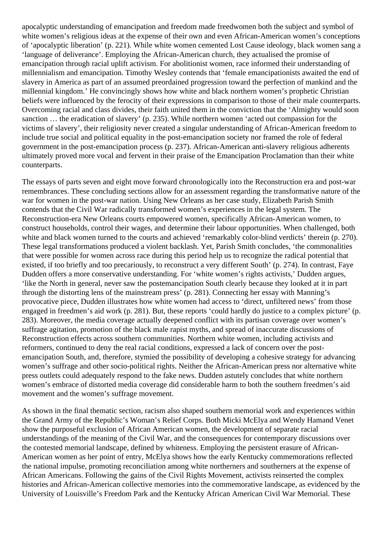apocalyptic understanding of emancipation and freedom made freedwomen both the subject and symbol of white women's religious ideas at the expense of their own and even African-American women's conceptions of 'apocalyptic liberation' (p. 221). While white women cemented Lost Cause ideology, black women sang a 'language of deliverance'. Employing the African-American church, they actualised the promise of emancipation through racial uplift activism. For abolitionist women, race informed their understanding of millennialism and emancipation. Timothy Wesley contends that 'female emancipationists awaited the end of slavery in America as part of an assumed preordained progression toward the perfection of mankind and the millennial kingdom.' He convincingly shows how white and black northern women's prophetic Christian beliefs were influenced by the ferocity of their expressions in comparison to those of their male counterparts. Overcoming racial and class divides, their faith united them in the conviction that the 'Almighty would soon sanction … the eradication of slavery' (p. 235). While northern women 'acted out compassion for the victims of slavery', their religiosity never created a singular understanding of African-American freedom to include true social and political equality in the post-emancipation society nor framed the role of federal government in the post-emancipation process (p. 237). African-American anti-slavery religious adherents ultimately proved more vocal and fervent in their praise of the Emancipation Proclamation than their white counterparts.

The essays of parts seven and eight move forward chronologically into the Reconstruction era and post-war remembrances. These concluding sections allow for an assessment regarding the transformative nature of the war for women in the post-war nation. Using New Orleans as her case study, Elizabeth Parish Smith contends that the Civil War radically transformed women's experiences in the legal system. The Reconstruction-era New Orleans courts empowered women, specifically African-American women, to construct households, control their wages, and determine their labour opportunities. When challenged, both white and black women turned to the courts and achieved 'remarkably color-blind verdicts' therein (p. 270). These legal transformations produced a violent backlash. Yet, Parish Smith concludes, 'the commonalities that were possible for women across race during this period help us to recognize the radical potential that existed, if too briefly and too precariously, to reconstruct a very different South' (p. 274). In contrast, Faye Dudden offers a more conservative understanding. For 'white women's rights activists,' Dudden argues, 'like the North in general, never saw the postemancipation South clearly because they looked at it in part through the distorting lens of the mainstream press' (p. 281). Connecting her essay with Manning's provocative piece, Dudden illustrates how white women had access to 'direct, unfiltered news' from those engaged in freedmen's aid work (p. 281). But, these reports 'could hardly do justice to a complex picture' (p. 283). Moreover, the media coverage actually deepened conflict with its partisan coverage over women's suffrage agitation, promotion of the black male rapist myths, and spread of inaccurate discussions of Reconstruction effects across southern communities. Northern white women, including activists and reformers, continued to deny the real racial conditions, expressed a lack of concern over the postemancipation South, and, therefore, stymied the possibility of developing a cohesive strategy for advancing women's suffrage and other socio-political rights. Neither the African-American press nor alternative white press outlets could adequately respond to the fake news. Dudden astutely concludes that white northern women's embrace of distorted media coverage did considerable harm to both the southern freedmen's aid movement and the women's suffrage movement.

As shown in the final thematic section, racism also shaped southern memorial work and experiences within the Grand Army of the Republic's Woman's Relief Corps. Both Micki McElya and Wendy Hamand Venet show the purposeful exclusion of African American women, the development of separate racial understandings of the meaning of the Civil War, and the consequences for contemporary discussions over the contested memorial landscape, defined by whiteness. Employing the persistent erasure of African-American women as her point of entry, McElya shows how the early Kentucky commemorations reflected the national impulse, promoting reconciliation among white northerners and southerners at the expense of African Americans. Following the gains of the Civil Rights Movement, activists reinserted the complex histories and African-American collective memories into the commemorative landscape, as evidenced by the University of Louisville's Freedom Park and the Kentucky African American Civil War Memorial. These